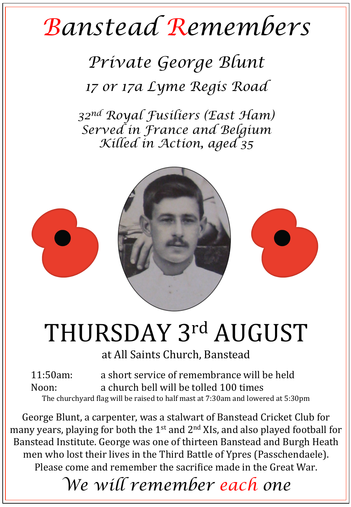## *Banstead Remembers*

*Private George Blunt 17 or 17a Lyme Regis Road* 

*32nd Royal Fusiliers (East Ham) Served in France and Belgium Killed in Action, aged 35* 



## THURSDAY 3rd AUGUST

at All Saints Church, Banstead

11:50am: a short service of remembrance will be held Noon: a church bell will be tolled 100 times The churchyard flag will be raised to half mast at 7:30am and lowered at 5:30pm

George Blunt, a carpenter, was a stalwart of Banstead Cricket Club for many years, playing for both the  $1^{st}$  and  $2^{nd}$  XIs, and also played football for Banstead Institute. George was one of thirteen Banstead and Burgh Heath men who lost their lives in the Third Battle of Ypres (Passchendaele). Please come and remember the sacrifice made in the Great War.

*We will remember each one*